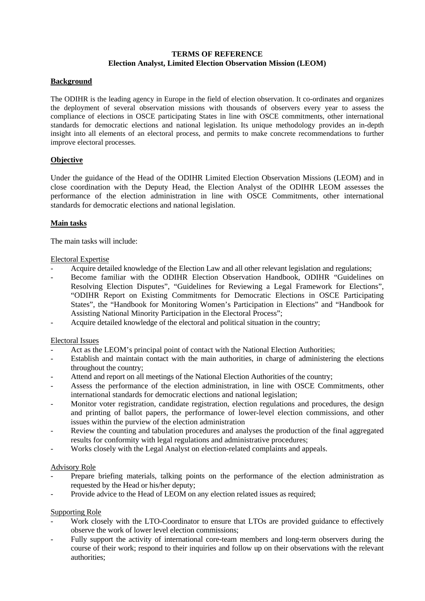# **TERMS OF REFERENCE Election Analyst, Limited Election Observation Mission (LEOM)**

### **Background**

The ODIHR is the leading agency in Europe in the field of election observation. It co-ordinates and organizes the deployment of several observation missions with thousands of observers every year to assess the compliance of elections in OSCE participating States in line with OSCE commitments, other international standards for democratic elections and national legislation. Its unique methodology provides an in-depth insight into all elements of an electoral process, and permits to make concrete recommendations to further improve electoral processes.

# **Objective**

Under the guidance of the Head of the ODIHR Limited Election Observation Missions (LEOM) and in close coordination with the Deputy Head, the Election Analyst of the ODIHR LEOM assesses the performance of the election administration in line with OSCE Commitments, other international standards for democratic elections and national legislation.

#### **Main tasks**

The main tasks will include:

#### Electoral Expertise

- Acquire detailed knowledge of the Election Law and all other relevant legislation and regulations;
- Become familiar with the ODIHR Election Observation Handbook, ODIHR "Guidelines on Resolving Election Disputes", "Guidelines for Reviewing a Legal Framework for Elections", "ODIHR Report on Existing Commitments for Democratic Elections in OSCE Participating States", the "Handbook for Monitoring Women's Participation in Elections" and "Handbook for Assisting National Minority Participation in the Electoral Process";
- Acquire detailed knowledge of the electoral and political situation in the country;

#### Electoral Issues

- Act as the LEOM's principal point of contact with the National Election Authorities;
- Establish and maintain contact with the main authorities, in charge of administering the elections throughout the country;
- Attend and report on all meetings of the National Election Authorities of the country;
- Assess the performance of the election administration, in line with OSCE Commitments, other international standards for democratic elections and national legislation;
- Monitor voter registration, candidate registration, election regulations and procedures, the design and printing of ballot papers, the performance of lower-level election commissions, and other issues within the purview of the election administration
- Review the counting and tabulation procedures and analyses the production of the final aggregated results for conformity with legal regulations and administrative procedures;
- Works closely with the Legal Analyst on election-related complaints and appeals.

#### Advisory Role

- Prepare briefing materials, talking points on the performance of the election administration as requested by the Head or his/her deputy;
- Provide advice to the Head of LEOM on any election related issues as required;

#### Supporting Role

- Work closely with the LTO-Coordinator to ensure that LTOs are provided guidance to effectively observe the work of lower level election commissions;
- Fully support the activity of international core-team members and long-term observers during the course of their work; respond to their inquiries and follow up on their observations with the relevant authorities;